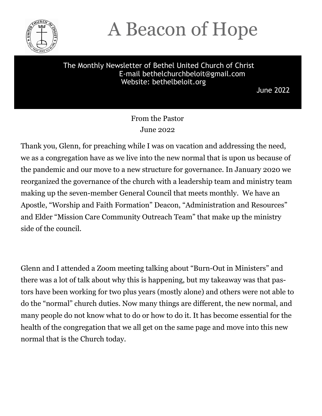

### A Beacon of Hope

#### The Monthly Newsletter of Bethel United Church of Christ E-mail bethelchurchbeloit@gmail.com Website: bethelbeloit.org

June 2022

#### From the Pastor June 2022

Thank you, Glenn, for preaching while I was on vacation and addressing the need, we as a congregation have as we live into the new normal that is upon us because of the pandemic and our move to a new structure for governance. In January 2020 we reorganized the governance of the church with a leadership team and ministry team making up the seven-member General Council that meets monthly. We have an Apostle, "Worship and Faith Formation" Deacon, "Administration and Resources" and Elder "Mission Care Community Outreach Team" that make up the ministry side of the council.

Glenn and I attended a Zoom meeting talking about "Burn-Out in Ministers" and there was a lot of talk about why this is happening, but my takeaway was that pastors have been working for two plus years (mostly alone) and others were not able to do the "normal" church duties. Now many things are different, the new normal, and many people do not know what to do or how to do it. It has become essential for the health of the congregation that we all get on the same page and move into this new normal that is the Church today.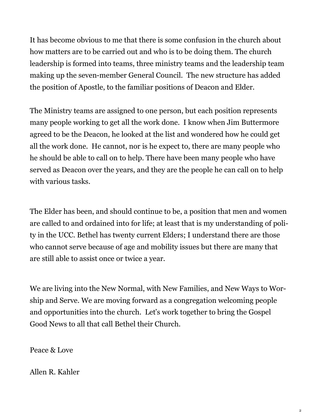It has become obvious to me that there is some confusion in the church about how matters are to be carried out and who is to be doing them. The church leadership is formed into teams, three ministry teams and the leadership team making up the seven-member General Council. The new structure has added the position of Apostle, to the familiar positions of Deacon and Elder.

The Ministry teams are assigned to one person, but each position represents many people working to get all the work done. I know when Jim Buttermore agreed to be the Deacon, he looked at the list and wondered how he could get all the work done. He cannot, nor is he expect to, there are many people who he should be able to call on to help. There have been many people who have served as Deacon over the years, and they are the people he can call on to help with various tasks.

The Elder has been, and should continue to be, a position that men and women are called to and ordained into for life; at least that is my understanding of polity in the UCC. Bethel has twenty current Elders; I understand there are those who cannot serve because of age and mobility issues but there are many that are still able to assist once or twice a year.

We are living into the New Normal, with New Families, and New Ways to Worship and Serve. We are moving forward as a congregation welcoming people and opportunities into the church. Let's work together to bring the Gospel Good News to all that call Bethel their Church.

Peace & Love

Allen R. Kahler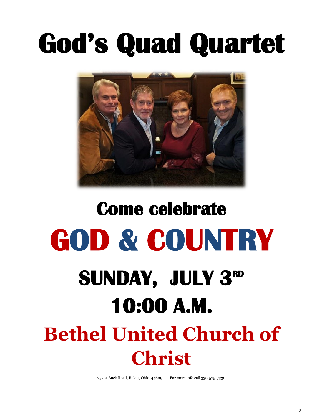## God's Quad Quartet



# **Come celebrate GOD & COUNTRY SUNDAY, JULY 3RD 10:00 A.M.**

### **Bethel United Church of Christ**

25701 Buck Road, Beloit, Ohio 44609 For more info call 330-525-7330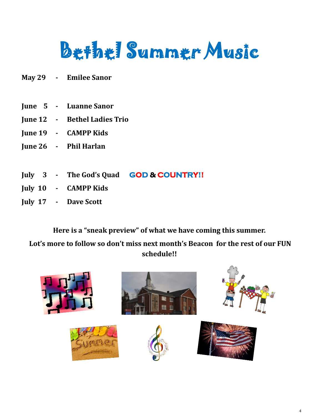## Bethel Summer Music

- **May 29 - Emilee Sanor**
- **June 5 - Luanne Sanor**
- **June 12 - Bethel Ladies Trio**
- **June 19 - CAMPP Kids**
- **June 26 - Phil Harlan**
- **July 3 - The God's Quad GOD & COUNTRY!!**
- **July 10 - CAMPP Kids**
- **July 17 - Dave Scott**

**Here is a "sneak preview" of what we have coming this summer.** 

**Lot's more to follow so don't miss next month's Beacon for the rest of our FUN schedule!!**

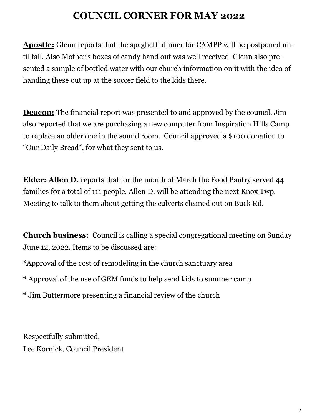### **COUNCIL CORNER FOR MAY 2022**

**Apostle:** Glenn reports that the spaghetti dinner for CAMPP will be postponed until fall. Also Mother's boxes of candy hand out was well received. Glenn also presented a sample of bottled water with our church information on it with the idea of handing these out up at the soccer field to the kids there.

**Deacon:** The financial report was presented to and approved by the council. Jim also reported that we are purchasing a new computer from Inspiration Hills Camp to replace an older one in the sound room. Council approved a \$100 donation to "Our Daily Bread", for what they sent to us.

**Elder: Allen D.** reports that for the month of March the Food Pantry served 44 families for a total of 111 people. Allen D. will be attending the next Knox Twp. Meeting to talk to them about getting the culverts cleaned out on Buck Rd.

**Church business:** Council is calling a special congregational meeting on Sunday June 12, 2022. Items to be discussed are:

\*Approval of the cost of remodeling in the church sanctuary area

\* Approval of the use of GEM funds to help send kids to summer camp

\* Jim Buttermore presenting a financial review of the church

Respectfully submitted, Lee Kornick, Council President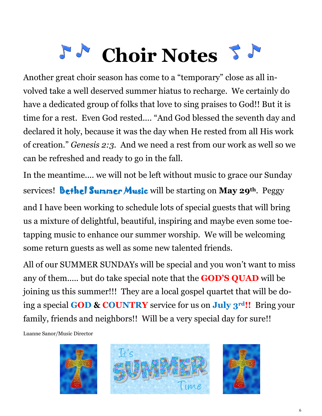## **Choir Notes**

Another great choir season has come to a "temporary" close as all involved take a well deserved summer hiatus to recharge. We certainly do have a dedicated group of folks that love to sing praises to God!! But it is time for a rest. Even God rested.... "And God blessed the seventh day and declared it holy, because it was the day when He rested from all His work of creation." *Genesis 2:3.* And we need a rest from our work as well so we can be refreshed and ready to go in the fall.

In the meantime.... we will not be left without music to grace our Sunday services! Bethel Summer Music will be starting on **May 29th**. Peggy and I have been working to schedule lots of special guests that will bring us a mixture of delightful, beautiful, inspiring and maybe even some toetapping music to enhance our summer worship. We will be welcoming

some return guests as well as some new talented friends.

All of our SUMMER SUNDAYs will be special and you won't want to miss any of them..... but do take special note that the **GOD'S QUAD** will be joining us this summer!!! They are a local gospel quartet that will be doing a special **GOD & COUNTRY** service for us on **July 3rd!!** Bring your family, friends and neighbors!! Will be a very special day for sure!!

Luanne Sanor/Music Director

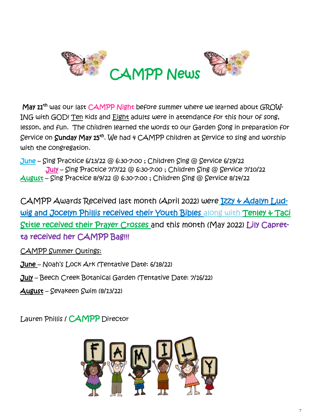

May 11<sup>th</sup> was our last CAMPP Night before summer where we learned about GROW-ING with GOD! Ten kids and Eight adults were in attendance for this hour of song, lesson, and fun. The children learned the words to our Garden Song in preparation for Service on Sunday May 15<sup>th</sup>. We had 4 CAMPP children at Service to sing and worship with the congregation.

 $June - Single$  Practice 6/13/22 @ 6:30-7:00 ; Children Sing @ Service 6/19/22 July – Sing Practice 7/7/22 @ 6:30-7:00 ; Children Sing @ Service 7/10/22 August – Sing Practice 8/9/22 @ 6:30-7:00 ; Children Sing @ Service 8/14/22

CAMPP Awards Received last month (April 2022) were Izzy & Adalyn Ludwig and Jocelyn Phillis received their Youth Bibles along with Tenley & Taci Stitle received their Prayer Crosses and this month (May 2022) Lily Capretta received her CAMPP Bag!!!

CAMPP Summer Outings:

June – Noah's Lock Ark (Tentative Date: 6/18/22)

July – Beech Creek Botanical Garden (Tentative Date: 7/16/22)

August – Sevakeen Swim (8/13/22)

Lauren Phillis / CAMPP Director

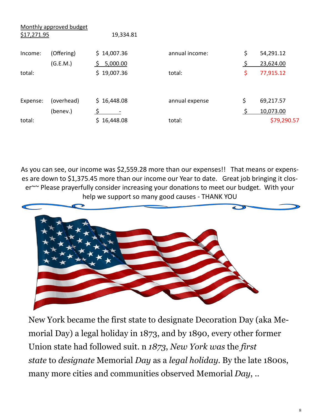|             | Monthly approved budget |             |                |                 |
|-------------|-------------------------|-------------|----------------|-----------------|
| \$17,271.95 |                         | 19,334.81   |                |                 |
| Income:     | (Offering)              | \$14,007.36 | annual income: | \$<br>54,291.12 |
|             | (G.E.M.)                | 5,000.00    |                | \$<br>23,624.00 |
| total:      |                         | \$19,007.36 | total:         | \$<br>77,915.12 |
| Expense:    | (overhead)              | \$16,448.08 | annual expense | \$<br>69,217.57 |
|             | (benev.)                |             |                | \$<br>10,073.00 |
| total:      |                         | \$16,448.08 | total:         | \$79,290.57     |

As you can see, our income was \$2,559.28 more than our expenses!! That means or expenses are down to \$1,375.45 more than our income our Year to date. Great job bringing it closer~~ Please prayerfully consider increasing your donations to meet our budget. With your help we support so many good causes - THANK YOU



New York became the first state to designate Decoration Day (aka Memorial Day) a legal holiday in 1873, and by 1890, every other former Union state had followed suit. n *1873*, *New York was* the *first state* to *designate* Memorial *Day* as a *legal holiday*. By the late 1800s, many more cities and communities observed Memorial *Day*, ..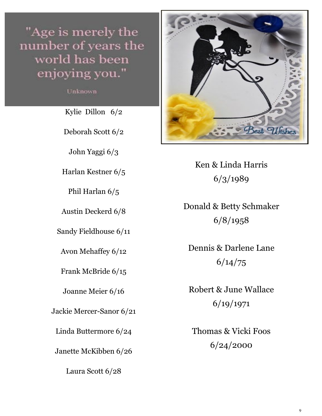"Age is merely the number of years the world has been enjoying you."

Unknown

Kylie Dillon 6/2

Deborah Scott 6/2

John Yaggi 6/3

Harlan Kestner 6/5

Phil Harlan 6/5

Austin Deckerd 6/8

Sandy Fieldhouse 6/11

Avon Mehaffey 6/12

Frank McBride 6/15

Joanne Meier 6/16

Jackie Mercer-Sanor 6/21

Linda Buttermore 6/24

Janette McKibben 6/26

Laura Scott 6/28



Ken & Linda Harris 6/3/1989

Donald & Betty Schmaker 6/8/1958

Dennis & Darlene Lane 6/14/75

Robert & June Wallace 6/19/1971

Thomas & Vicki Foos 6/24/2000